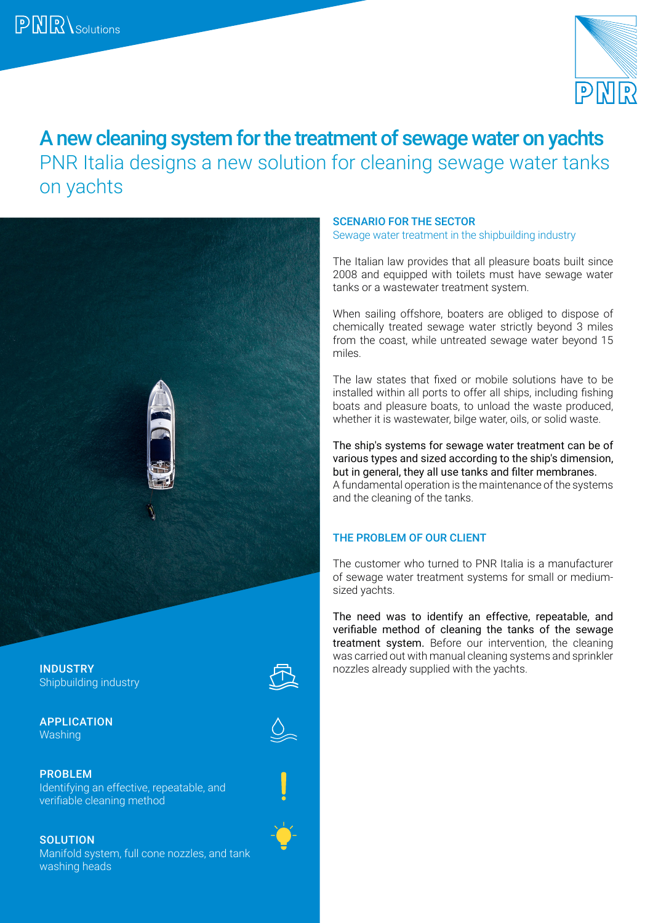

# A new cleaning system for the treatment of sewage water on yachts PNR Italia designs a new solution for cleaning sewage water tanks on yachts



#### **INDUSTRY Note allows** already supplied with the yachts. Shipbuilding industry

APPLICATION Washing





PROBLEM Identifying an effective, repeatable, and verifiable cleaning method

**SOLUTION** Manifold system, full cone nozzles, and tank washing heads